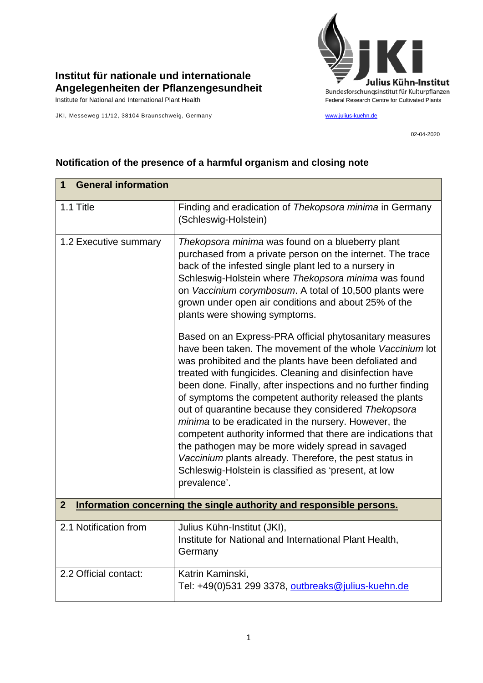

## **Institut für nationale und internationale Angelegenheiten der Pflanzengesundheit**

JKI, Messeweg 11/12, 38104 Braunschweig, Germany [www.julius-kuehn.de](http://www.julius-kuehn.de/)

02-04-2020

| <b>General information</b><br>1                                                        |                                                                                                                                                                                                                                                                                                                                                                                                                                                                                                                                                                                                                                                                                                                                             |  |
|----------------------------------------------------------------------------------------|---------------------------------------------------------------------------------------------------------------------------------------------------------------------------------------------------------------------------------------------------------------------------------------------------------------------------------------------------------------------------------------------------------------------------------------------------------------------------------------------------------------------------------------------------------------------------------------------------------------------------------------------------------------------------------------------------------------------------------------------|--|
| 1.1 Title                                                                              | Finding and eradication of Thekopsora minima in Germany<br>(Schleswig-Holstein)                                                                                                                                                                                                                                                                                                                                                                                                                                                                                                                                                                                                                                                             |  |
| 1.2 Executive summary                                                                  | Thekopsora minima was found on a blueberry plant<br>purchased from a private person on the internet. The trace<br>back of the infested single plant led to a nursery in<br>Schleswig-Holstein where Thekopsora minima was found<br>on Vaccinium corymbosum. A total of 10,500 plants were<br>grown under open air conditions and about 25% of the<br>plants were showing symptoms.                                                                                                                                                                                                                                                                                                                                                          |  |
|                                                                                        | Based on an Express-PRA official phytosanitary measures<br>have been taken. The movement of the whole Vaccinium lot<br>was prohibited and the plants have been defoliated and<br>treated with fungicides. Cleaning and disinfection have<br>been done. Finally, after inspections and no further finding<br>of symptoms the competent authority released the plants<br>out of quarantine because they considered Thekopsora<br>minima to be eradicated in the nursery. However, the<br>competent authority informed that there are indications that<br>the pathogen may be more widely spread in savaged<br>Vaccinium plants already. Therefore, the pest status in<br>Schleswig-Holstein is classified as 'present, at low<br>prevalence'. |  |
| Information concerning the single authority and responsible persons.<br>$\overline{2}$ |                                                                                                                                                                                                                                                                                                                                                                                                                                                                                                                                                                                                                                                                                                                                             |  |
| 2.1 Notification from                                                                  | Julius Kühn-Institut (JKI),<br>Institute for National and International Plant Health,<br>Germany                                                                                                                                                                                                                                                                                                                                                                                                                                                                                                                                                                                                                                            |  |
| 2.2 Official contact:                                                                  | Katrin Kaminski,<br>Tel: +49(0)531 299 3378, outbreaks@julius-kuehn.de                                                                                                                                                                                                                                                                                                                                                                                                                                                                                                                                                                                                                                                                      |  |

## **Notification of the presence of a harmful organism and closing note**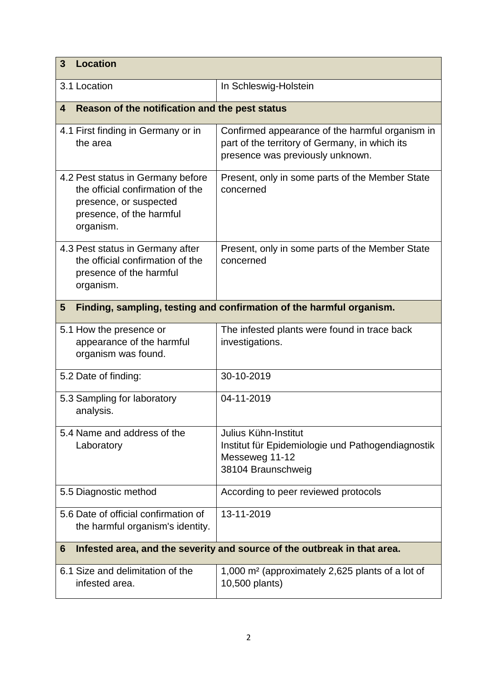| <b>Location</b><br>3                                                                                                                     |                                                                                                                                       |  |
|------------------------------------------------------------------------------------------------------------------------------------------|---------------------------------------------------------------------------------------------------------------------------------------|--|
| 3.1 Location                                                                                                                             | In Schleswig-Holstein                                                                                                                 |  |
| Reason of the notification and the pest status<br>4                                                                                      |                                                                                                                                       |  |
| 4.1 First finding in Germany or in<br>the area                                                                                           | Confirmed appearance of the harmful organism in<br>part of the territory of Germany, in which its<br>presence was previously unknown. |  |
| 4.2 Pest status in Germany before<br>the official confirmation of the<br>presence, or suspected<br>presence, of the harmful<br>organism. | Present, only in some parts of the Member State<br>concerned                                                                          |  |
| 4.3 Pest status in Germany after<br>the official confirmation of the<br>presence of the harmful<br>organism.                             | Present, only in some parts of the Member State<br>concerned                                                                          |  |
| Finding, sampling, testing and confirmation of the harmful organism.<br>5                                                                |                                                                                                                                       |  |
| 5.1 How the presence or<br>appearance of the harmful<br>organism was found.                                                              | The infested plants were found in trace back<br>investigations.                                                                       |  |
| 5.2 Date of finding:                                                                                                                     | 30-10-2019                                                                                                                            |  |
| 5.3 Sampling for laboratory<br>analysis.                                                                                                 | 04-11-2019                                                                                                                            |  |
| 5.4 Name and address of the<br>Laboratory                                                                                                | Julius Kühn-Institut<br>Institut für Epidemiologie und Pathogendiagnostik<br>Messeweg 11-12<br>38104 Braunschweig                     |  |
| 5.5 Diagnostic method                                                                                                                    | According to peer reviewed protocols                                                                                                  |  |
| 5.6 Date of official confirmation of<br>the harmful organism's identity.                                                                 | 13-11-2019                                                                                                                            |  |
| Infested area, and the severity and source of the outbreak in that area.<br>6                                                            |                                                                                                                                       |  |
| 6.1 Size and delimitation of the<br>infested area.                                                                                       | 1,000 m <sup>2</sup> (approximately 2,625 plants of a lot of<br>10,500 plants)                                                        |  |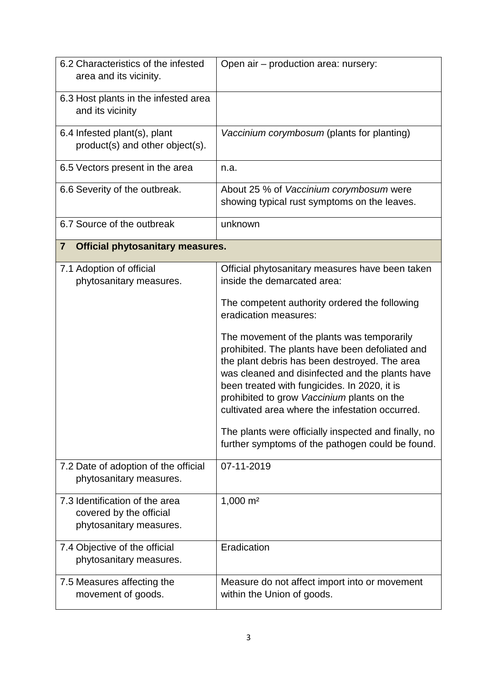| 6.2 Characteristics of the infested<br>area and its vicinity.                        | Open air - production area: nursery:                                                                                                                                                                                                                                                                                                                                                                                                                                                                                                                                                                                       |
|--------------------------------------------------------------------------------------|----------------------------------------------------------------------------------------------------------------------------------------------------------------------------------------------------------------------------------------------------------------------------------------------------------------------------------------------------------------------------------------------------------------------------------------------------------------------------------------------------------------------------------------------------------------------------------------------------------------------------|
| 6.3 Host plants in the infested area<br>and its vicinity                             |                                                                                                                                                                                                                                                                                                                                                                                                                                                                                                                                                                                                                            |
| 6.4 Infested plant(s), plant<br>product(s) and other object(s).                      | Vaccinium corymbosum (plants for planting)                                                                                                                                                                                                                                                                                                                                                                                                                                                                                                                                                                                 |
| 6.5 Vectors present in the area                                                      | n.a.                                                                                                                                                                                                                                                                                                                                                                                                                                                                                                                                                                                                                       |
| 6.6 Severity of the outbreak.                                                        | About 25 % of Vaccinium corymbosum were<br>showing typical rust symptoms on the leaves.                                                                                                                                                                                                                                                                                                                                                                                                                                                                                                                                    |
| 6.7 Source of the outbreak                                                           | unknown                                                                                                                                                                                                                                                                                                                                                                                                                                                                                                                                                                                                                    |
| <b>Official phytosanitary measures.</b><br>$\overline{\mathbf{7}}$                   |                                                                                                                                                                                                                                                                                                                                                                                                                                                                                                                                                                                                                            |
| 7.1 Adoption of official<br>phytosanitary measures.                                  | Official phytosanitary measures have been taken<br>inside the demarcated area:<br>The competent authority ordered the following<br>eradication measures:<br>The movement of the plants was temporarily<br>prohibited. The plants have been defoliated and<br>the plant debris has been destroyed. The area<br>was cleaned and disinfected and the plants have<br>been treated with fungicides. In 2020, it is<br>prohibited to grow Vaccinium plants on the<br>cultivated area where the infestation occurred.<br>The plants were officially inspected and finally, no<br>further symptoms of the pathogen could be found. |
| 7.2 Date of adoption of the official<br>phytosanitary measures.                      | 07-11-2019                                                                                                                                                                                                                                                                                                                                                                                                                                                                                                                                                                                                                 |
| 7.3 Identification of the area<br>covered by the official<br>phytosanitary measures. | $1,000 \text{ m}^2$                                                                                                                                                                                                                                                                                                                                                                                                                                                                                                                                                                                                        |
| 7.4 Objective of the official<br>phytosanitary measures.                             | Eradication                                                                                                                                                                                                                                                                                                                                                                                                                                                                                                                                                                                                                |
| 7.5 Measures affecting the<br>movement of goods.                                     | Measure do not affect import into or movement<br>within the Union of goods.                                                                                                                                                                                                                                                                                                                                                                                                                                                                                                                                                |